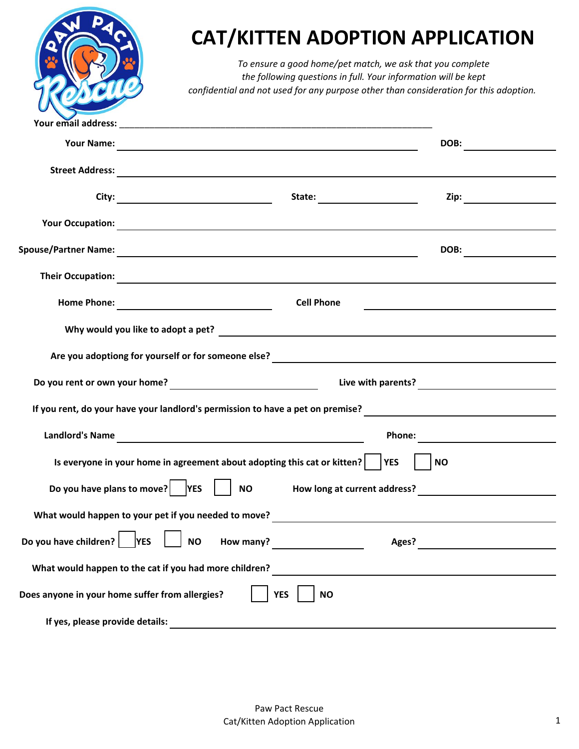|                                                                                                                                                                              | <b>CAT/KITTEN ADOPTION APPLICATION</b><br>To ensure a good home/pet match, we ask that you complete<br>the following questions in full. Your information will be kept<br>confidential and not used for any purpose other than consideration for this adoption. |                                               |  |  |  |  |  |  |
|------------------------------------------------------------------------------------------------------------------------------------------------------------------------------|----------------------------------------------------------------------------------------------------------------------------------------------------------------------------------------------------------------------------------------------------------------|-----------------------------------------------|--|--|--|--|--|--|
|                                                                                                                                                                              |                                                                                                                                                                                                                                                                |                                               |  |  |  |  |  |  |
|                                                                                                                                                                              |                                                                                                                                                                                                                                                                |                                               |  |  |  |  |  |  |
|                                                                                                                                                                              |                                                                                                                                                                                                                                                                |                                               |  |  |  |  |  |  |
|                                                                                                                                                                              |                                                                                                                                                                                                                                                                |                                               |  |  |  |  |  |  |
|                                                                                                                                                                              |                                                                                                                                                                                                                                                                |                                               |  |  |  |  |  |  |
|                                                                                                                                                                              |                                                                                                                                                                                                                                                                |                                               |  |  |  |  |  |  |
|                                                                                                                                                                              | Their Occupation: <u>Constantine Communication</u>                                                                                                                                                                                                             |                                               |  |  |  |  |  |  |
|                                                                                                                                                                              | <b>Cell Phone</b>                                                                                                                                                                                                                                              |                                               |  |  |  |  |  |  |
| Why would you like to adopt a pet?                                                                                                                                           |                                                                                                                                                                                                                                                                |                                               |  |  |  |  |  |  |
| Are you adoptiong for yourself or for someone else?<br><u> and the summan contract of the set of the set of the set of the set of the set of the set of the set of the s</u> |                                                                                                                                                                                                                                                                |                                               |  |  |  |  |  |  |
|                                                                                                                                                                              |                                                                                                                                                                                                                                                                |                                               |  |  |  |  |  |  |
|                                                                                                                                                                              |                                                                                                                                                                                                                                                                |                                               |  |  |  |  |  |  |
| <b>Landlord's Name</b>                                                                                                                                                       |                                                                                                                                                                                                                                                                | Phone:                                        |  |  |  |  |  |  |
| Is everyone in your home in agreement about adopting this cat or kitten?<br><b>YES</b><br><b>NO</b>                                                                          |                                                                                                                                                                                                                                                                |                                               |  |  |  |  |  |  |
| Do you have plans to move? $ $   YES<br><b>NO</b><br>How long at current address?                                                                                            |                                                                                                                                                                                                                                                                |                                               |  |  |  |  |  |  |
|                                                                                                                                                                              |                                                                                                                                                                                                                                                                |                                               |  |  |  |  |  |  |
| Do you have children? $ $   YES                                                                                                                                              | <b>NO</b><br>How many?                                                                                                                                                                                                                                         | Ages?                                         |  |  |  |  |  |  |
|                                                                                                                                                                              | What would happen to the cat if you had more children?                                                                                                                                                                                                         | <u> 1989 - Andrea Andrew Maria (h. 1989).</u> |  |  |  |  |  |  |
|                                                                                                                                                                              | Does anyone in your home suffer from allergies?<br><b>YES</b><br><b>NO</b>                                                                                                                                                                                     |                                               |  |  |  |  |  |  |
| If yes, please provide details:                                                                                                                                              |                                                                                                                                                                                                                                                                |                                               |  |  |  |  |  |  |